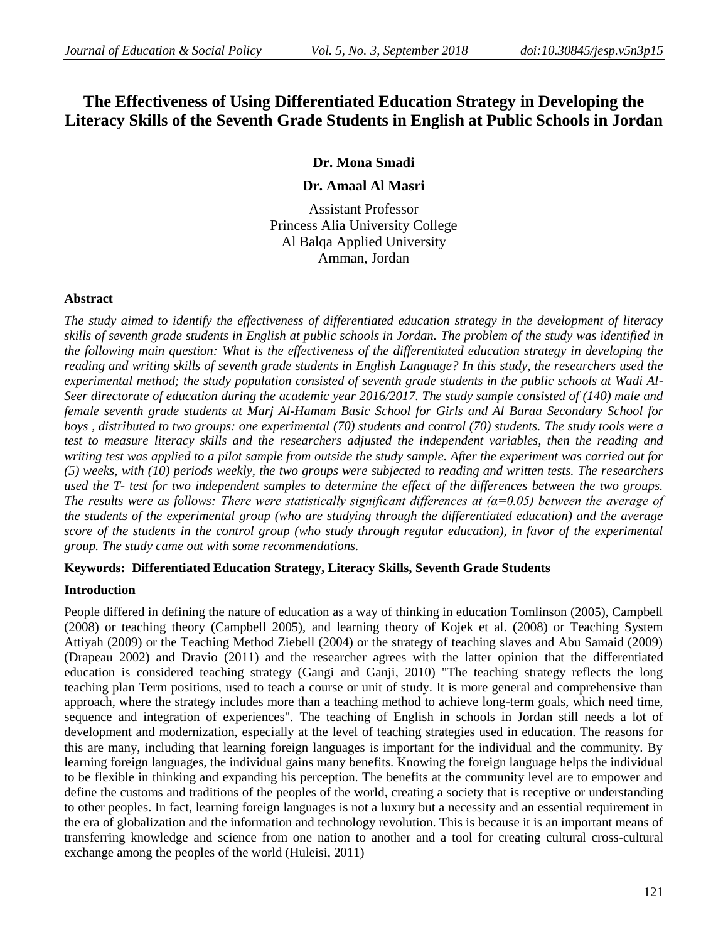# **The Effectiveness of Using Differentiated Education Strategy in Developing the Literacy Skills of the Seventh Grade Students in English at Public Schools in Jordan**

# **Dr. Mona Smadi**

## **Dr. Amaal Al Masri**

Assistant Professor Princess Alia University College Al Balqa Applied University Amman, Jordan

#### **Abstract**

*The study aimed to identify the effectiveness of differentiated education strategy in the development of literacy skills of seventh grade students in English at public schools in Jordan. The problem of the study was identified in the following main question: What is the effectiveness of the differentiated education strategy in developing the reading and writing skills of seventh grade students in English Language? In this study, the researchers used the experimental method; the study population consisted of seventh grade students in the public schools at Wadi Al-Seer directorate of education during the academic year 2016/2017. The study sample consisted of (140) male and female seventh grade students at Marj Al-Hamam Basic School for Girls and Al Baraa Secondary School for boys , distributed to two groups: one experimental (70) students and control (70) students. The study tools were a test to measure literacy skills and the researchers adjusted the independent variables, then the reading and writing test was applied to a pilot sample from outside the study sample. After the experiment was carried out for (5) weeks, with (10) periods weekly, the two groups were subjected to reading and written tests. The researchers used the T- test for two independent samples to determine the effect of the differences between the two groups. The results were as follows: There were statistically significant differences at (α=0.05) between the average of the students of the experimental group (who are studying through the differentiated education) and the average score of the students in the control group (who study through regular education), in favor of the experimental group. The study came out with some recommendations.*

## **Keywords: Differentiated Education Strategy, Literacy Skills, Seventh Grade Students**

#### **Introduction**

People differed in defining the nature of education as a way of thinking in education Tomlinson (2005), Campbell (2008) or teaching theory (Campbell 2005), and learning theory of Kojek et al. (2008) or Teaching System Attiyah (2009) or the Teaching Method Ziebell (2004) or the strategy of teaching slaves and Abu Samaid (2009) (Drapeau 2002) and Dravio (2011) and the researcher agrees with the latter opinion that the differentiated education is considered teaching strategy (Gangi and Ganji, 2010) "The teaching strategy reflects the long teaching plan Term positions, used to teach a course or unit of study. It is more general and comprehensive than approach, where the strategy includes more than a teaching method to achieve long-term goals, which need time, sequence and integration of experiences". The teaching of English in schools in Jordan still needs a lot of development and modernization, especially at the level of teaching strategies used in education. The reasons for this are many, including that learning foreign languages is important for the individual and the community. By learning foreign languages, the individual gains many benefits. Knowing the foreign language helps the individual to be flexible in thinking and expanding his perception. The benefits at the community level are to empower and define the customs and traditions of the peoples of the world, creating a society that is receptive or understanding to other peoples. In fact, learning foreign languages is not a luxury but a necessity and an essential requirement in the era of globalization and the information and technology revolution. This is because it is an important means of transferring knowledge and science from one nation to another and a tool for creating cultural cross-cultural exchange among the peoples of the world (Huleisi, 2011)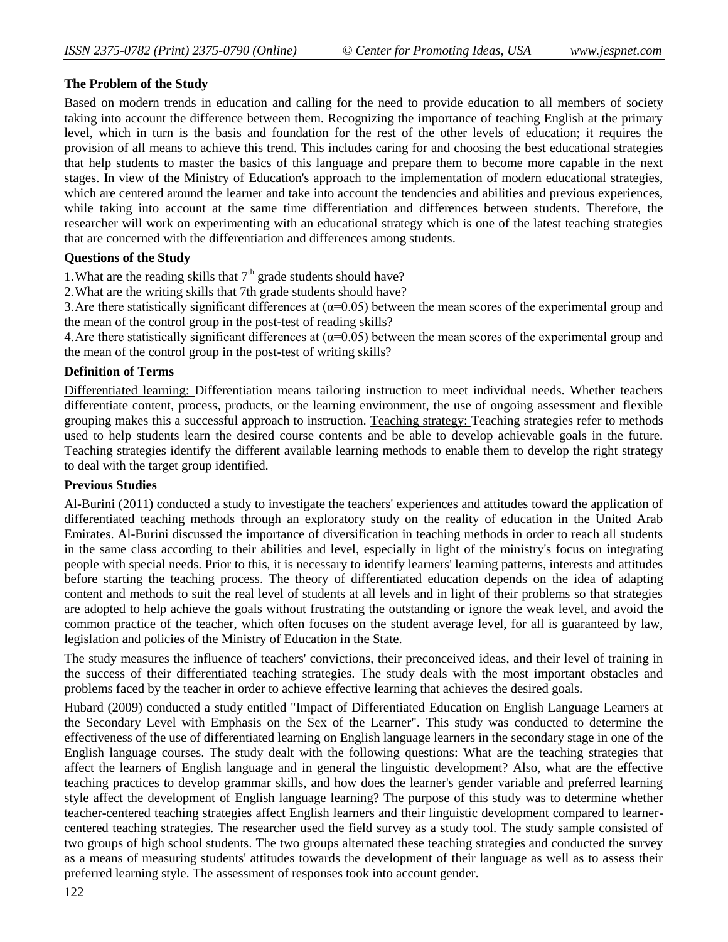## **The Problem of the Study**

Based on modern trends in education and calling for the need to provide education to all members of society taking into account the difference between them. Recognizing the importance of teaching English at the primary level, which in turn is the basis and foundation for the rest of the other levels of education; it requires the provision of all means to achieve this trend. This includes caring for and choosing the best educational strategies that help students to master the basics of this language and prepare them to become more capable in the next stages. In view of the Ministry of Education's approach to the implementation of modern educational strategies, which are centered around the learner and take into account the tendencies and abilities and previous experiences, while taking into account at the same time differentiation and differences between students. Therefore, the researcher will work on experimenting with an educational strategy which is one of the latest teaching strategies that are concerned with the differentiation and differences among students.

## **Questions of the Study**

1. What are the reading skills that  $7<sup>th</sup>$  grade students should have?

2.What are the writing skills that 7th grade students should have?

3. Are there statistically significant differences at  $(\alpha=0.05)$  between the mean scores of the experimental group and the mean of the control group in the post-test of reading skills?

4. Are there statistically significant differences at  $(\alpha=0.05)$  between the mean scores of the experimental group and the mean of the control group in the post-test of writing skills?

## **Definition of Terms**

Differentiated learning: Differentiation means tailoring instruction to meet individual needs. Whether teachers differentiate content, process, products, or the learning environment, the use of ongoing assessment and flexible grouping makes this a successful approach to instruction. Teaching strategy: Teaching strategies refer to methods used to help students learn the desired course contents and be able to develop achievable goals in the future. Teaching strategies identify the different available learning methods to enable them to develop the right strategy to deal with the target group identified.

#### **Previous Studies**

Al-Burini (2011) conducted a study to investigate the teachers' experiences and attitudes toward the application of differentiated teaching methods through an exploratory study on the reality of education in the United Arab Emirates. Al-Burini discussed the importance of diversification in teaching methods in order to reach all students in the same class according to their abilities and level, especially in light of the ministry's focus on integrating people with special needs. Prior to this, it is necessary to identify learners' learning patterns, interests and attitudes before starting the teaching process. The theory of differentiated education depends on the idea of adapting content and methods to suit the real level of students at all levels and in light of their problems so that strategies are adopted to help achieve the goals without frustrating the outstanding or ignore the weak level, and avoid the common practice of the teacher, which often focuses on the student average level, for all is guaranteed by law, legislation and policies of the Ministry of Education in the State.

The study measures the influence of teachers' convictions, their preconceived ideas, and their level of training in the success of their differentiated teaching strategies. The study deals with the most important obstacles and problems faced by the teacher in order to achieve effective learning that achieves the desired goals.

Hubard (2009) conducted a study entitled "Impact of Differentiated Education on English Language Learners at the Secondary Level with Emphasis on the Sex of the Learner". This study was conducted to determine the effectiveness of the use of differentiated learning on English language learners in the secondary stage in one of the English language courses. The study dealt with the following questions: What are the teaching strategies that affect the learners of English language and in general the linguistic development? Also, what are the effective teaching practices to develop grammar skills, and how does the learner's gender variable and preferred learning style affect the development of English language learning? The purpose of this study was to determine whether teacher-centered teaching strategies affect English learners and their linguistic development compared to learnercentered teaching strategies. The researcher used the field survey as a study tool. The study sample consisted of two groups of high school students. The two groups alternated these teaching strategies and conducted the survey as a means of measuring students' attitudes towards the development of their language as well as to assess their preferred learning style. The assessment of responses took into account gender.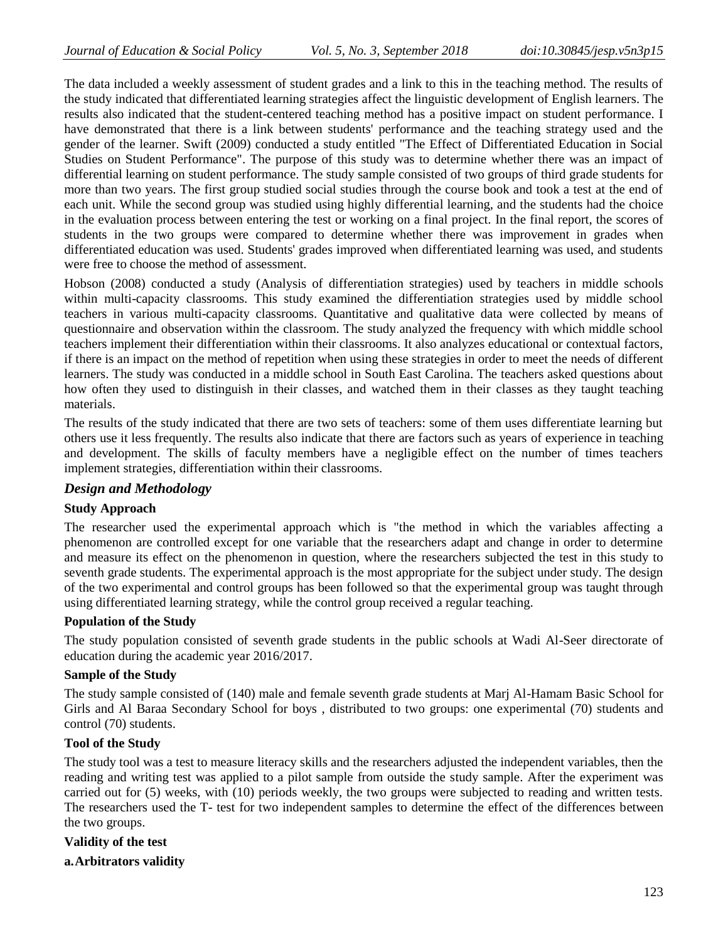The data included a weekly assessment of student grades and a link to this in the teaching method. The results of the study indicated that differentiated learning strategies affect the linguistic development of English learners. The results also indicated that the student-centered teaching method has a positive impact on student performance. I have demonstrated that there is a link between students' performance and the teaching strategy used and the gender of the learner. Swift (2009) conducted a study entitled "The Effect of Differentiated Education in Social Studies on Student Performance". The purpose of this study was to determine whether there was an impact of differential learning on student performance. The study sample consisted of two groups of third grade students for more than two years. The first group studied social studies through the course book and took a test at the end of each unit. While the second group was studied using highly differential learning, and the students had the choice in the evaluation process between entering the test or working on a final project. In the final report, the scores of students in the two groups were compared to determine whether there was improvement in grades when differentiated education was used. Students' grades improved when differentiated learning was used, and students were free to choose the method of assessment.

Hobson (2008) conducted a study (Analysis of differentiation strategies) used by teachers in middle schools within multi-capacity classrooms. This study examined the differentiation strategies used by middle school teachers in various multi-capacity classrooms. Quantitative and qualitative data were collected by means of questionnaire and observation within the classroom. The study analyzed the frequency with which middle school teachers implement their differentiation within their classrooms. It also analyzes educational or contextual factors, if there is an impact on the method of repetition when using these strategies in order to meet the needs of different learners. The study was conducted in a middle school in South East Carolina. The teachers asked questions about how often they used to distinguish in their classes, and watched them in their classes as they taught teaching materials.

The results of the study indicated that there are two sets of teachers: some of them uses differentiate learning but others use it less frequently. The results also indicate that there are factors such as years of experience in teaching and development. The skills of faculty members have a negligible effect on the number of times teachers implement strategies, differentiation within their classrooms.

#### *Design and Methodology*

#### **Study Approach**

The researcher used the experimental approach which is "the method in which the variables affecting a phenomenon are controlled except for one variable that the researchers adapt and change in order to determine and measure its effect on the phenomenon in question, where the researchers subjected the test in this study to seventh grade students. The experimental approach is the most appropriate for the subject under study. The design of the two experimental and control groups has been followed so that the experimental group was taught through using differentiated learning strategy, while the control group received a regular teaching.

#### **Population of the Study**

The study population consisted of seventh grade students in the public schools at Wadi Al-Seer directorate of education during the academic year 2016/2017.

#### **Sample of the Study**

The study sample consisted of (140) male and female seventh grade students at Marj Al-Hamam Basic School for Girls and Al Baraa Secondary School for boys , distributed to two groups: one experimental (70) students and control (70) students.

#### **Tool of the Study**

The study tool was a test to measure literacy skills and the researchers adjusted the independent variables, then the reading and writing test was applied to a pilot sample from outside the study sample. After the experiment was carried out for (5) weeks, with (10) periods weekly, the two groups were subjected to reading and written tests. The researchers used the T- test for two independent samples to determine the effect of the differences between the two groups.

#### **Validity of the test**

**a.Arbitrators validity**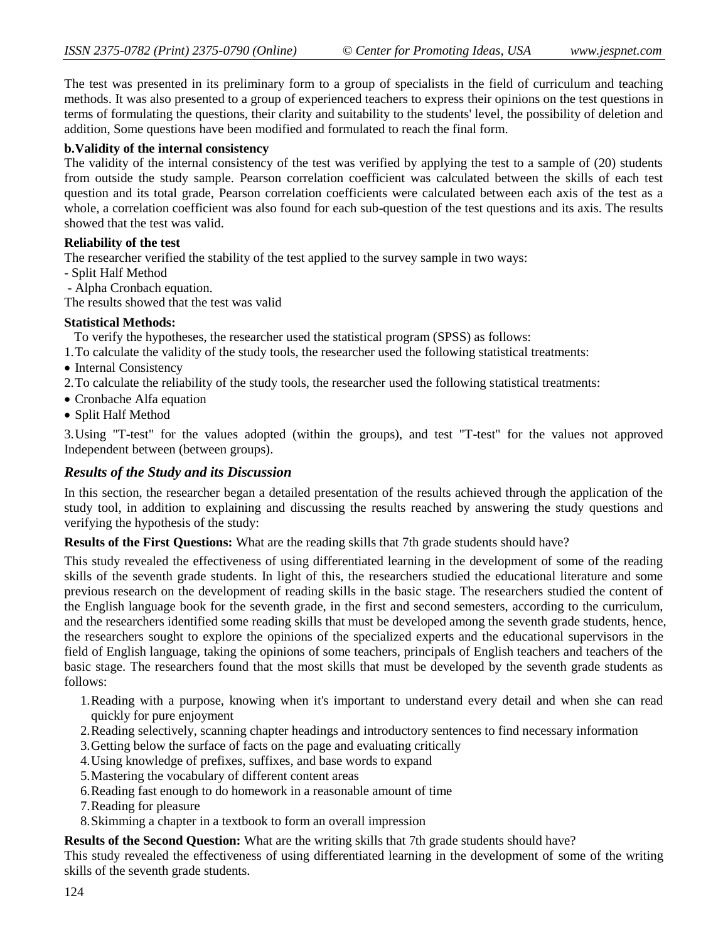The test was presented in its preliminary form to a group of specialists in the field of curriculum and teaching methods. It was also presented to a group of experienced teachers to express their opinions on the test questions in terms of formulating the questions, their clarity and suitability to the students' level, the possibility of deletion and addition, Some questions have been modified and formulated to reach the final form.

### **b.Validity of the internal consistency**

The validity of the internal consistency of the test was verified by applying the test to a sample of (20) students from outside the study sample. Pearson correlation coefficient was calculated between the skills of each test question and its total grade, Pearson correlation coefficients were calculated between each axis of the test as a whole, a correlation coefficient was also found for each sub-question of the test questions and its axis. The results showed that the test was valid.

## **Reliability of the test**

The researcher verified the stability of the test applied to the survey sample in two ways:

- Split Half Method
- Alpha Cronbach equation.

The results showed that the test was valid

## **Statistical Methods:**

To verify the hypotheses, the researcher used the statistical program (SPSS) as follows:

- 1.To calculate the validity of the study tools, the researcher used the following statistical treatments:
- Internal Consistency
- 2.To calculate the reliability of the study tools, the researcher used the following statistical treatments:
- Cronbache Alfa equation
- Split Half Method

3.Using "T-test" for the values adopted (within the groups), and test "T-test" for the values not approved Independent between (between groups).

## *Results of the Study and its Discussion*

In this section, the researcher began a detailed presentation of the results achieved through the application of the study tool, in addition to explaining and discussing the results reached by answering the study questions and verifying the hypothesis of the study:

**Results of the First Questions:** What are the reading skills that 7th grade students should have?

This study revealed the effectiveness of using differentiated learning in the development of some of the reading skills of the seventh grade students. In light of this, the researchers studied the educational literature and some previous research on the development of reading skills in the basic stage. The researchers studied the content of the English language book for the seventh grade, in the first and second semesters, according to the curriculum, and the researchers identified some reading skills that must be developed among the seventh grade students, hence, the researchers sought to explore the opinions of the specialized experts and the educational supervisors in the field of English language, taking the opinions of some teachers, principals of English teachers and teachers of the basic stage. The researchers found that the most skills that must be developed by the seventh grade students as follows:

- 1.Reading with a purpose, knowing when it's important to understand every detail and when she can read quickly for pure enjoyment
- 2.Reading selectively, scanning chapter headings and introductory sentences to find necessary information
- 3.Getting below the surface of facts on the page and evaluating critically
- 4.Using knowledge of prefixes, suffixes, and base words to expand
- 5.Mastering the vocabulary of different content areas
- 6.Reading fast enough to do homework in a reasonable amount of time
- 7.Reading for pleasure
- 8.Skimming a chapter in a textbook to form an overall impression

**Results of the Second Question:** What are the writing skills that 7th grade students should have?

This study revealed the effectiveness of using differentiated learning in the development of some of the writing skills of the seventh grade students.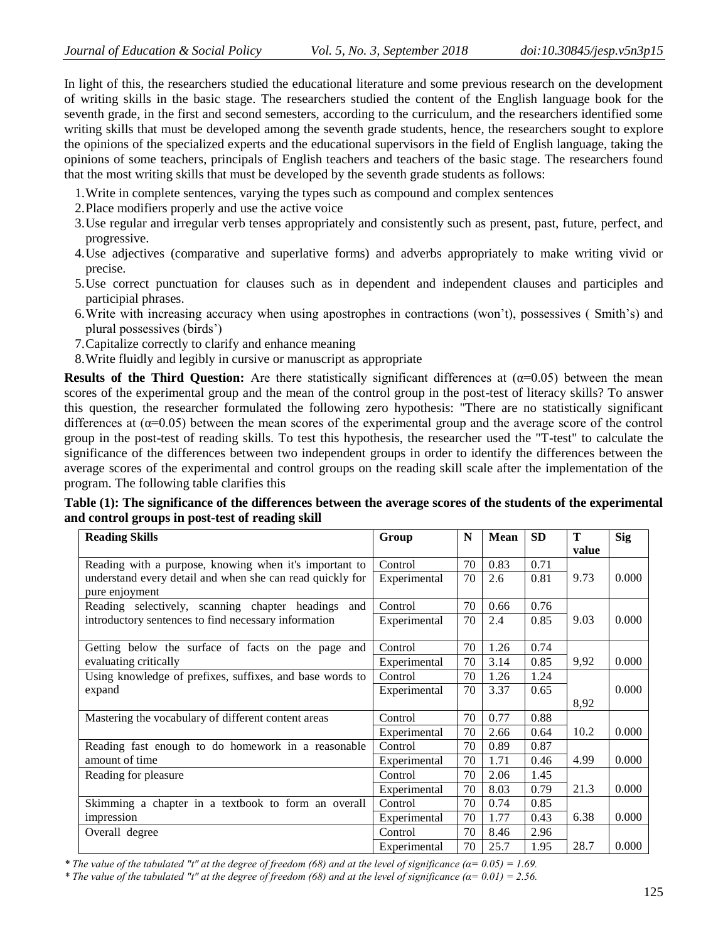In light of this, the researchers studied the educational literature and some previous research on the development of writing skills in the basic stage. The researchers studied the content of the English language book for the seventh grade, in the first and second semesters, according to the curriculum, and the researchers identified some writing skills that must be developed among the seventh grade students, hence, the researchers sought to explore the opinions of the specialized experts and the educational supervisors in the field of English language, taking the opinions of some teachers, principals of English teachers and teachers of the basic stage. The researchers found that the most writing skills that must be developed by the seventh grade students as follows:

- 1.Write in complete sentences, varying the types such as compound and complex sentences
- 2.Place modifiers properly and use the active voice
- 3.Use regular and irregular verb tenses appropriately and consistently such as present, past, future, perfect, and progressive.
- 4.Use adjectives (comparative and superlative forms) and adverbs appropriately to make writing vivid or precise.
- 5.Use correct punctuation for clauses such as in dependent and independent clauses and participles and participial phrases.
- 6.Write with increasing accuracy when using apostrophes in contractions (won't), possessives ( Smith's) and plural possessives (birds')
- 7.Capitalize correctly to clarify and enhance meaning
- 8.Write fluidly and legibly in cursive or manuscript as appropriate

**Results of the Third Question:** Are there statistically significant differences at  $(\alpha=0.05)$  between the mean scores of the experimental group and the mean of the control group in the post-test of literacy skills? To answer this question, the researcher formulated the following zero hypothesis: "There are no statistically significant differences at (α=0.05) between the mean scores of the experimental group and the average score of the control group in the post-test of reading skills. To test this hypothesis, the researcher used the "T-test" to calculate the significance of the differences between two independent groups in order to identify the differences between the average scores of the experimental and control groups on the reading skill scale after the implementation of the program. The following table clarifies this

**Table (1): The significance of the differences between the average scores of the students of the experimental and control groups in post-test of reading skill**

| <b>Reading Skills</b>                                                                                         | Group        | N  | Mean | <b>SD</b> | T<br>value | <b>Sig</b> |
|---------------------------------------------------------------------------------------------------------------|--------------|----|------|-----------|------------|------------|
| Reading with a purpose, knowing when it's important to                                                        | Control      | 70 | 0.83 | 0.71      |            |            |
| understand every detail and when she can read quickly for<br>pure enjoyment                                   | Experimental | 70 | 2.6  | 0.81      | 9.73       | 0.000      |
| Reading selectively, scanning chapter headings<br>and<br>introductory sentences to find necessary information | Control      | 70 | 0.66 | 0.76      |            |            |
|                                                                                                               | Experimental | 70 | 2.4  | 0.85      | 9.03       | 0.000      |
| Getting below the surface of facts on the page and<br>evaluating critically                                   | Control      | 70 | 1.26 | 0.74      |            |            |
|                                                                                                               | Experimental | 70 | 3.14 | 0.85      | 9,92       | 0.000      |
| Using knowledge of prefixes, suffixes, and base words to                                                      | Control      | 70 | 1.26 | 1.24      |            |            |
| expand                                                                                                        | Experimental | 70 | 3.37 | 0.65      |            | 0.000      |
|                                                                                                               |              |    |      |           | 8,92       |            |
| Mastering the vocabulary of different content areas                                                           | Control      | 70 | 0.77 | 0.88      |            |            |
|                                                                                                               | Experimental | 70 | 2.66 | 0.64      | 10.2       | 0.000      |
| Reading fast enough to do homework in a reasonable                                                            | Control      | 70 | 0.89 | 0.87      |            |            |
| amount of time                                                                                                | Experimental | 70 | 1.71 | 0.46      | 4.99       | 0.000      |
| Reading for pleasure.                                                                                         | Control      | 70 | 2.06 | 1.45      |            |            |
|                                                                                                               | Experimental | 70 | 8.03 | 0.79      | 21.3       | 0.000      |
| Skimming a chapter in a textbook to form an overall                                                           | Control      | 70 | 0.74 | 0.85      |            |            |
| impression                                                                                                    | Experimental | 70 | 1.77 | 0.43      | 6.38       | 0.000      |
| Overall degree                                                                                                | Control      | 70 | 8.46 | 2.96      |            |            |
|                                                                                                               | Experimental | 70 | 25.7 | 1.95      | 28.7       | 0.000      |

*\* The value of the tabulated "t" at the degree of freedom (68) and at the level of significance (α= 0.05) = 1.69.* 

*\* The value of the tabulated "t" at the degree of freedom (68) and at the level of significance (α= 0.01) = 2.56.*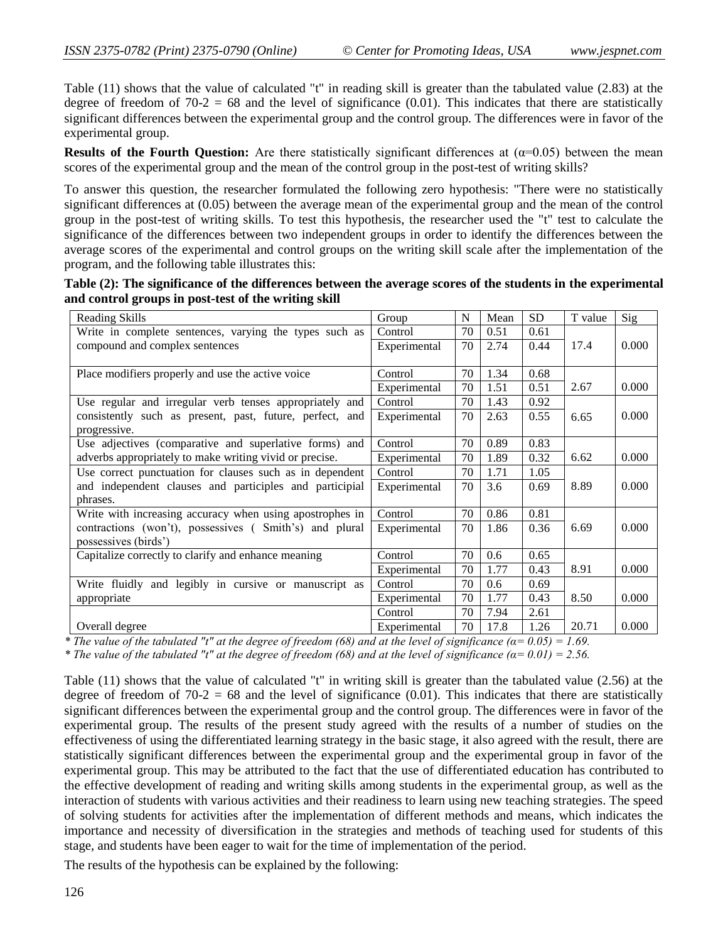Table (11) shows that the value of calculated "t" in reading skill is greater than the tabulated value (2.83) at the degree of freedom of  $70-2 = 68$  and the level of significance (0.01). This indicates that there are statistically significant differences between the experimental group and the control group. The differences were in favor of the experimental group.

**Results of the Fourth Question:** Are there statistically significant differences at  $(\alpha=0.05)$  between the mean scores of the experimental group and the mean of the control group in the post-test of writing skills?

To answer this question, the researcher formulated the following zero hypothesis: "There were no statistically significant differences at (0.05) between the average mean of the experimental group and the mean of the control group in the post-test of writing skills. To test this hypothesis, the researcher used the "t" test to calculate the significance of the differences between two independent groups in order to identify the differences between the average scores of the experimental and control groups on the writing skill scale after the implementation of the program, and the following table illustrates this:

| Table (2): The significance of the differences between the average scores of the students in the experimental |  |
|---------------------------------------------------------------------------------------------------------------|--|
| and control groups in post-test of the writing skill                                                          |  |

| Reading Skills                                           | Group        | N  | Mean | <b>SD</b> | T value | Sig   |
|----------------------------------------------------------|--------------|----|------|-----------|---------|-------|
| Write in complete sentences, varying the types such as   | Control      | 70 | 0.51 | 0.61      |         |       |
| compound and complex sentences                           | Experimental | 70 | 2.74 | 0.44      | 17.4    | 0.000 |
|                                                          |              |    |      |           |         |       |
| Place modifiers properly and use the active voice        | Control      | 70 | 1.34 | 0.68      |         |       |
|                                                          | Experimental | 70 | 1.51 | 0.51      | 2.67    | 0.000 |
| Use regular and irregular verb tenses appropriately and  | Control      | 70 | 1.43 | 0.92      |         |       |
| consistently such as present, past, future, perfect, and | Experimental | 70 | 2.63 | 0.55      | 6.65    | 0.000 |
| progressive.                                             |              |    |      |           |         |       |
| Use adjectives (comparative and superlative forms) and   | Control      | 70 | 0.89 | 0.83      |         |       |
| adverbs appropriately to make writing vivid or precise.  | Experimental | 70 | 1.89 | 0.32      | 6.62    | 0.000 |
| Use correct punctuation for clauses such as in dependent | Control      | 70 | 1.71 | 1.05      |         |       |
| and independent clauses and participles and participial  | Experimental | 70 | 3.6  | 0.69      | 8.89    | 0.000 |
| phrases.                                                 |              |    |      |           |         |       |
| Write with increasing accuracy when using apostrophes in | Control      | 70 | 0.86 | 0.81      |         |       |
| contractions (won't), possessives (Smith's) and plural   | Experimental | 70 | 1.86 | 0.36      | 6.69    | 0.000 |
| possessives (birds')                                     |              |    |      |           |         |       |
| Capitalize correctly to clarify and enhance meaning      | Control      | 70 | 0.6  | 0.65      |         |       |
|                                                          | Experimental | 70 | 1.77 | 0.43      | 8.91    | 0.000 |
| Write fluidly and legibly in cursive or manuscript as    | Control      | 70 | 0.6  | 0.69      |         |       |
| appropriate                                              | Experimental | 70 | 1.77 | 0.43      | 8.50    | 0.000 |
|                                                          | Control      | 70 | 7.94 | 2.61      |         |       |
| Overall degree                                           | Experimental | 70 | 17.8 | 1.26      | 20.71   | 0.000 |

*\* The value of the tabulated "t" at the degree of freedom (68) and at the level of significance (* $\alpha$ *= 0.05) = 1.69.* 

*\* The value of the tabulated "t" at the degree of freedom (68) and at the level of significance*  $(a=0.01) = 2.56$ *.* 

Table (11) shows that the value of calculated "t" in writing skill is greater than the tabulated value (2.56) at the degree of freedom of  $70-2 = 68$  and the level of significance (0.01). This indicates that there are statistically significant differences between the experimental group and the control group. The differences were in favor of the experimental group. The results of the present study agreed with the results of a number of studies on the effectiveness of using the differentiated learning strategy in the basic stage, it also agreed with the result, there are statistically significant differences between the experimental group and the experimental group in favor of the experimental group. This may be attributed to the fact that the use of differentiated education has contributed to the effective development of reading and writing skills among students in the experimental group, as well as the interaction of students with various activities and their readiness to learn using new teaching strategies. The speed of solving students for activities after the implementation of different methods and means, which indicates the importance and necessity of diversification in the strategies and methods of teaching used for students of this stage, and students have been eager to wait for the time of implementation of the period.

The results of the hypothesis can be explained by the following: